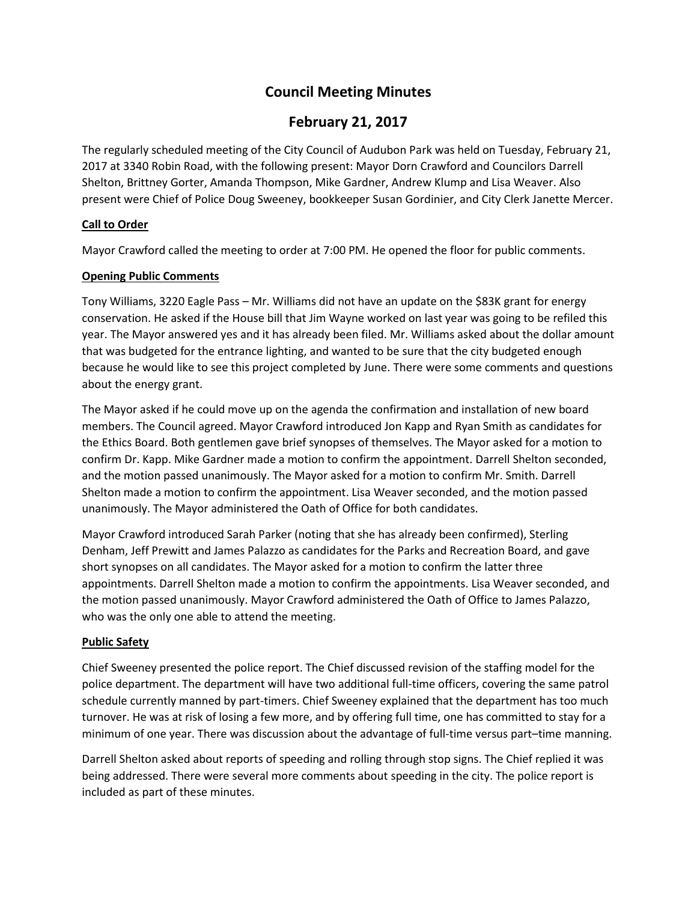# **Council Meeting Minutes**

# **February 21, 2017**

The regularly scheduled meeting of the City Council of Audubon Park was held on Tuesday, February 21, 2017 at 3340 Robin Road, with the following present: Mayor Dorn Crawford and Councilors Darrell Shelton, Brittney Gorter, Amanda Thompson, Mike Gardner, Andrew Klump and Lisa Weaver. Also present were Chief of Police Doug Sweeney, bookkeeper Susan Gordinier, and City Clerk Janette Mercer.

# **Call to Order**

Mayor Crawford called the meeting to order at 7:00 PM. He opened the floor for public comments.

# **Opening Public Comments**

Tony Williams, 3220 Eagle Pass – Mr. Williams did not have an update on the \$83K grant for energy conservation. He asked if the House bill that Jim Wayne worked on last year was going to be refiled this year. The Mayor answered yes and it has already been filed. Mr. Williams asked about the dollar amount that was budgeted for the entrance lighting, and wanted to be sure that the city budgeted enough because he would like to see this project completed by June. There were some comments and questions about the energy grant.

The Mayor asked if he could move up on the agenda the confirmation and installation of new board members. The Council agreed. Mayor Crawford introduced Jon Kapp and Ryan Smith as candidates for the Ethics Board. Both gentlemen gave brief synopses of themselves. The Mayor asked for a motion to confirm Dr. Kapp. Mike Gardner made a motion to confirm the appointment. Darrell Shelton seconded, and the motion passed unanimously. The Mayor asked for a motion to confirm Mr. Smith. Darrell Shelton made a motion to confirm the appointment. Lisa Weaver seconded, and the motion passed unanimously. The Mayor administered the Oath of Office for both candidates.

Mayor Crawford introduced Sarah Parker (noting that she has already been confirmed), Sterling Denham, Jeff Prewitt and James Palazzo as candidates for the Parks and Recreation Board, and gave short synopses on all candidates. The Mayor asked for a motion to confirm the latter three appointments. Darrell Shelton made a motion to confirm the appointments. Lisa Weaver seconded, and the motion passed unanimously. Mayor Crawford administered the Oath of Office to James Palazzo, who was the only one able to attend the meeting.

# **Public Safety**

Chief Sweeney presented the police report. The Chief discussed revision of the staffing model for the police department. The department will have two additional full-time officers, covering the same patrol schedule currently manned by part-timers. Chief Sweeney explained that the department has too much turnover. He was at risk of losing a few more, and by offering full time, one has committed to stay for a minimum of one year. There was discussion about the advantage of full-time versus part–time manning.

Darrell Shelton asked about reports of speeding and rolling through stop signs. The Chief replied it was being addressed. There were several more comments about speeding in the city. The police report is included as part of these minutes.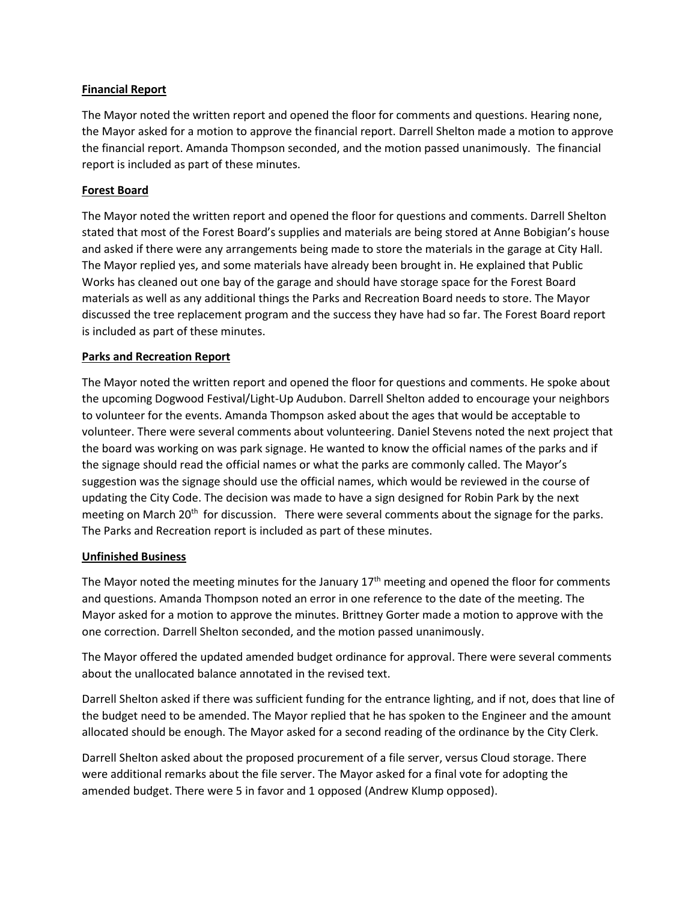#### **Financial Report**

The Mayor noted the written report and opened the floor for comments and questions. Hearing none, the Mayor asked for a motion to approve the financial report. Darrell Shelton made a motion to approve the financial report. Amanda Thompson seconded, and the motion passed unanimously. The financial report is included as part of these minutes.

## **Forest Board**

The Mayor noted the written report and opened the floor for questions and comments. Darrell Shelton stated that most of the Forest Board's supplies and materials are being stored at Anne Bobigian's house and asked if there were any arrangements being made to store the materials in the garage at City Hall. The Mayor replied yes, and some materials have already been brought in. He explained that Public Works has cleaned out one bay of the garage and should have storage space for the Forest Board materials as well as any additional things the Parks and Recreation Board needs to store. The Mayor discussed the tree replacement program and the success they have had so far. The Forest Board report is included as part of these minutes.

## **Parks and Recreation Report**

The Mayor noted the written report and opened the floor for questions and comments. He spoke about the upcoming Dogwood Festival/Light-Up Audubon. Darrell Shelton added to encourage your neighbors to volunteer for the events. Amanda Thompson asked about the ages that would be acceptable to volunteer. There were several comments about volunteering. Daniel Stevens noted the next project that the board was working on was park signage. He wanted to know the official names of the parks and if the signage should read the official names or what the parks are commonly called. The Mayor's suggestion was the signage should use the official names, which would be reviewed in the course of updating the City Code. The decision was made to have a sign designed for Robin Park by the next meeting on March 20<sup>th</sup> for discussion. There were several comments about the signage for the parks. The Parks and Recreation report is included as part of these minutes.

#### **Unfinished Business**

The Mayor noted the meeting minutes for the January  $17<sup>th</sup>$  meeting and opened the floor for comments and questions. Amanda Thompson noted an error in one reference to the date of the meeting. The Mayor asked for a motion to approve the minutes. Brittney Gorter made a motion to approve with the one correction. Darrell Shelton seconded, and the motion passed unanimously.

The Mayor offered the updated amended budget ordinance for approval. There were several comments about the unallocated balance annotated in the revised text.

Darrell Shelton asked if there was sufficient funding for the entrance lighting, and if not, does that line of the budget need to be amended. The Mayor replied that he has spoken to the Engineer and the amount allocated should be enough. The Mayor asked for a second reading of the ordinance by the City Clerk.

Darrell Shelton asked about the proposed procurement of a file server, versus Cloud storage. There were additional remarks about the file server. The Mayor asked for a final vote for adopting the amended budget. There were 5 in favor and 1 opposed (Andrew Klump opposed).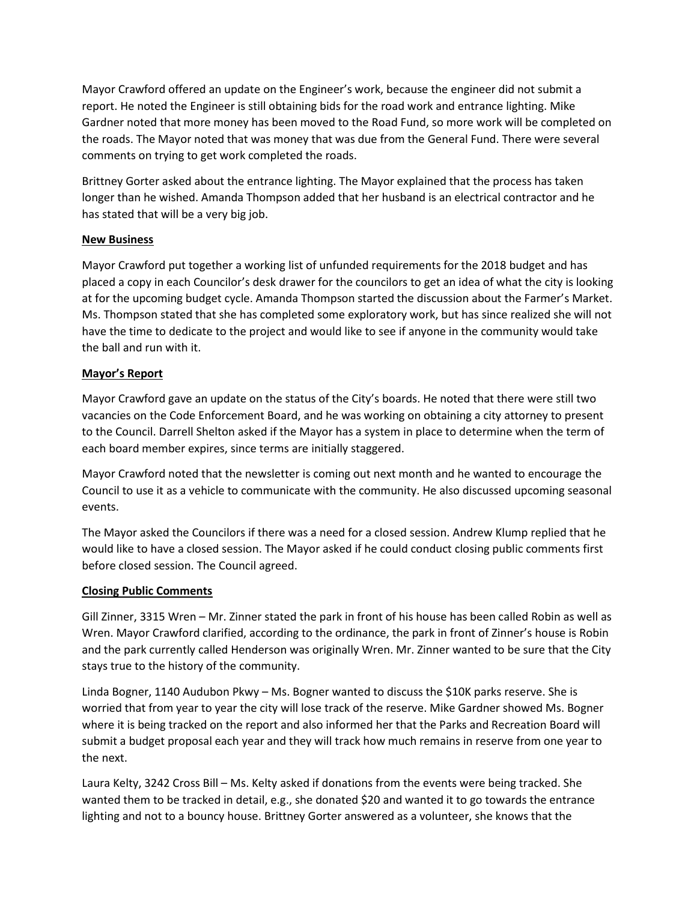Mayor Crawford offered an update on the Engineer's work, because the engineer did not submit a report. He noted the Engineer is still obtaining bids for the road work and entrance lighting. Mike Gardner noted that more money has been moved to the Road Fund, so more work will be completed on the roads. The Mayor noted that was money that was due from the General Fund. There were several comments on trying to get work completed the roads.

Brittney Gorter asked about the entrance lighting. The Mayor explained that the process has taken longer than he wished. Amanda Thompson added that her husband is an electrical contractor and he has stated that will be a very big job.

## **New Business**

Mayor Crawford put together a working list of unfunded requirements for the 2018 budget and has placed a copy in each Councilor's desk drawer for the councilors to get an idea of what the city is looking at for the upcoming budget cycle. Amanda Thompson started the discussion about the Farmer's Market. Ms. Thompson stated that she has completed some exploratory work, but has since realized she will not have the time to dedicate to the project and would like to see if anyone in the community would take the ball and run with it.

## **Mayor's Report**

Mayor Crawford gave an update on the status of the City's boards. He noted that there were still two vacancies on the Code Enforcement Board, and he was working on obtaining a city attorney to present to the Council. Darrell Shelton asked if the Mayor has a system in place to determine when the term of each board member expires, since terms are initially staggered.

Mayor Crawford noted that the newsletter is coming out next month and he wanted to encourage the Council to use it as a vehicle to communicate with the community. He also discussed upcoming seasonal events.

The Mayor asked the Councilors if there was a need for a closed session. Andrew Klump replied that he would like to have a closed session. The Mayor asked if he could conduct closing public comments first before closed session. The Council agreed.

#### **Closing Public Comments**

Gill Zinner, 3315 Wren – Mr. Zinner stated the park in front of his house has been called Robin as well as Wren. Mayor Crawford clarified, according to the ordinance, the park in front of Zinner's house is Robin and the park currently called Henderson was originally Wren. Mr. Zinner wanted to be sure that the City stays true to the history of the community.

Linda Bogner, 1140 Audubon Pkwy – Ms. Bogner wanted to discuss the \$10K parks reserve. She is worried that from year to year the city will lose track of the reserve. Mike Gardner showed Ms. Bogner where it is being tracked on the report and also informed her that the Parks and Recreation Board will submit a budget proposal each year and they will track how much remains in reserve from one year to the next.

Laura Kelty, 3242 Cross Bill – Ms. Kelty asked if donations from the events were being tracked. She wanted them to be tracked in detail, e.g., she donated \$20 and wanted it to go towards the entrance lighting and not to a bouncy house. Brittney Gorter answered as a volunteer, she knows that the